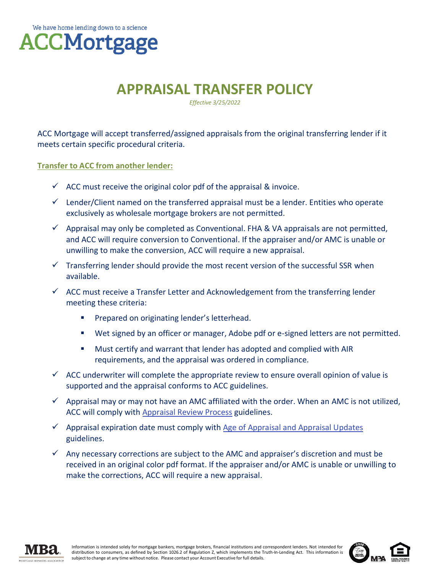

## **APPRAISAL TRANSFER POLICY**

*Effective 3/25/2022* 

ACC Mortgage will accept transferred/assigned appraisals from the original transferring lender if it meets certain specific procedural criteria.

**Transfer to ACC from another lender:** 

- $\checkmark$  ACC must receive the original color pdf of the appraisal & invoice.
- $\checkmark$  Lender/Client named on the transferred appraisal must be a lender. Entities who operate exclusively as wholesale mortgage brokers are not permitted.
- $\checkmark$  Appraisal may only be completed as Conventional. FHA & VA appraisals are not permitted, and ACC will require conversion to Conventional. If the appraiser and/or AMC is unable or unwilling to make the conversion, ACC will require a new appraisal.
- $\checkmark$  Transferring lender should provide the most recent version of the successful SSR when available.
- $\checkmark$  ACC must receive a Transfer Letter and Acknowledgement from the transferring lender meeting these criteria:
	- **•** Prepared on originating lender's letterhead.
	- Wet signed by an officer or manager, Adobe pdf or e-signed letters are not permitted.
	- Must certify and warrant that lender has adopted and complied with AIR requirements, and the appraisal was ordered in compliance.
- $\checkmark$  ACC underwriter will complete the appropriate review to ensure overall opinion of value is supported and the appraisal conforms to ACC guidelines.
- $\checkmark$  Appraisal may or may not have an AMC affiliated with the order. When an AMC is not utilized, ACC will comply with [Appraisal Review Process](https://accmortgage.com/wp-content/uploads/2022/03/K.7.5-APPRAISAL-REVIEW-PROCESS.pdf) guidelines.
- $\checkmark$  Appraisal expiration date must comply with [Age of Appraisal and Appraisal Updates](https://accmortgage.com/wp-content/uploads/2022/03/K.2.5-AGE-OF-APPRAISAL-AND-APPRAISAL-UPDATES.pdf) guidelines.
- $\checkmark$  Any necessary corrections are subject to the AMC and appraiser's discretion and must be received in an original color pdf format. If the appraiser and/or AMC is unable or unwilling to make the corrections, ACC will require a new appraisal.